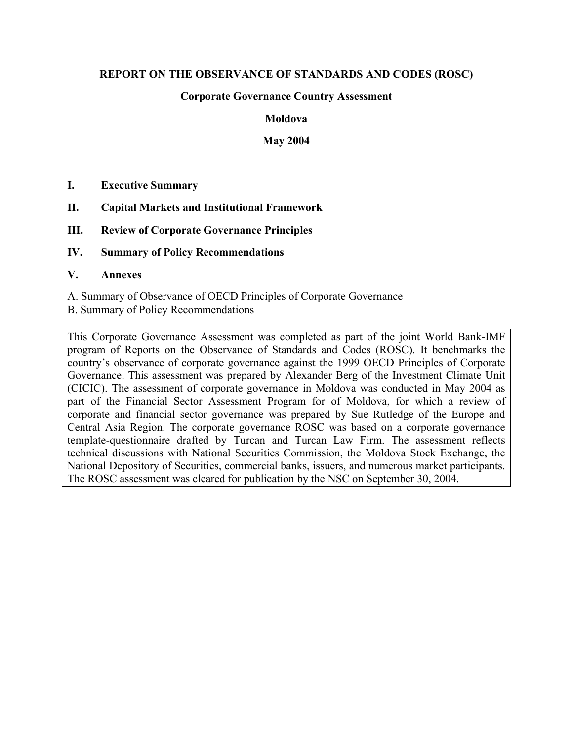# **REPORT ON THE OBSERVANCE OF STANDARDS AND CODES (ROSC)**

## **Corporate Governance Country Assessment**

#### **Moldova**

#### **May 2004**

- **I. Executive Summary**
- **II. Capital Markets and Institutional Framework**
- **III. Review of Corporate Governance Principles**
- **IV. Summary of Policy Recommendations**

#### **V. Annexes**

A. Summary of Observance of OECD Principles of Corporate Governance B. Summary of Policy Recommendations

This Corporate Governance Assessment was completed as part of the joint World Bank-IMF program of Reports on the Observance of Standards and Codes (ROSC). It benchmarks the country's observance of corporate governance against the 1999 OECD Principles of Corporate Governance. This assessment was prepared by Alexander Berg of the Investment Climate Unit (CICIC). The assessment of corporate governance in Moldova was conducted in May 2004 as part of the Financial Sector Assessment Program for of Moldova, for which a review of corporate and financial sector governance was prepared by Sue Rutledge of the Europe and Central Asia Region. The corporate governance ROSC was based on a corporate governance template-questionnaire drafted by Turcan and Turcan Law Firm. The assessment reflects technical discussions with National Securities Commission, the Moldova Stock Exchange, the National Depository of Securities, commercial banks, issuers, and numerous market participants. The ROSC assessment was cleared for publication by the NSC on September 30, 2004.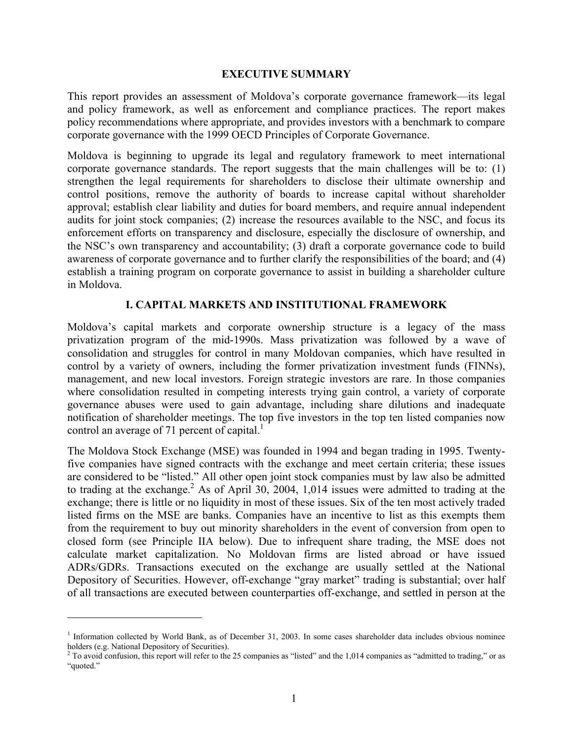#### **EXECUTIVE SUMMARY**

This report provides an assessment of Moldova's corporate governance framework—its legal and policy framework, as well as enforcement and compliance practices. The report makes policy recommendations where appropriate, and provides investors with a benchmark to compare corporate governance with the 1999 OECD Principles of Corporate Governance.

Moldova is beginning to upgrade its legal and regulatory framework to meet international corporate governance standards. The report suggests that the main challenges will be to: (1) strengthen the legal requirements for shareholders to disclose their ultimate ownership and control positions, remove the authority of boards to increase capital without shareholder approval; establish clear liability and duties for board members, and require annual independent audits for joint stock companies; (2) increase the resources available to the NSC, and focus its enforcement efforts on transparency and disclosure, especially the disclosure of ownership, and the NSC's own transparency and accountability; (3) draft a corporate governance code to build awareness of corporate governance and to further clarify the responsibilities of the board; and (4) establish a training program on corporate governance to assist in building a shareholder culture in Moldova.

# **I. CAPITAL MARKETS AND INSTITUTIONAL FRAMEWORK**

Moldova's capital markets and corporate ownership structure is a legacy of the mass privatization program of the mid-1990s. Mass privatization was followed by a wave of consolidation and struggles for control in many Moldovan companies, which have resulted in control by a variety of owners, including the former privatization investment funds (FINNs), management, and new local investors. Foreign strategic investors are rare. In those companies where consolidation resulted in competing interests trying gain control, a variety of corporate governance abuses were used to gain advantage, including share dilutions and inadequate notification of shareholder meetings. The top five investors in the top ten listed companies now control an average of 7[1](#page-1-0) percent of capital.<sup>1</sup>

The Moldova Stock Exchange (MSE) was founded in 1994 and began trading in 1995. Twentyfive companies have signed contracts with the exchange and meet certain criteria; these issues are considered to be "listed." All other open joint stock companies must by law also be admitted to trading at the exchange.<sup>[2](#page-1-1)</sup> As of April 30, 2004, 1,014 issues were admitted to trading at the exchange; there is little or no liquidity in most of these issues. Six of the ten most actively traded listed firms on the MSE are banks. Companies have an incentive to list as this exempts them from the requirement to buy out minority shareholders in the event of conversion from open to closed form (see Principle IIA below). Due to infrequent share trading, the MSE does not calculate market capitalization. No Moldovan firms are listed abroad or have issued ADRs/GDRs. Transactions executed on the exchange are usually settled at the National Depository of Securities. However, off-exchange "gray market" trading is substantial; over half of all transactions are executed between counterparties off-exchange, and settled in person at the

 $\overline{\phantom{a}}$ 

<span id="page-1-0"></span><sup>&</sup>lt;sup>1</sup> Information collected by World Bank, as of December 31, 2003. In some cases shareholder data includes obvious nominee holders (e.g. National Depository of Securities).

<span id="page-1-1"></span> $2$  To avoid confusion, this report will refer to the 25 companies as "listed" and the 1,014 companies as "admitted to trading," or as "quoted."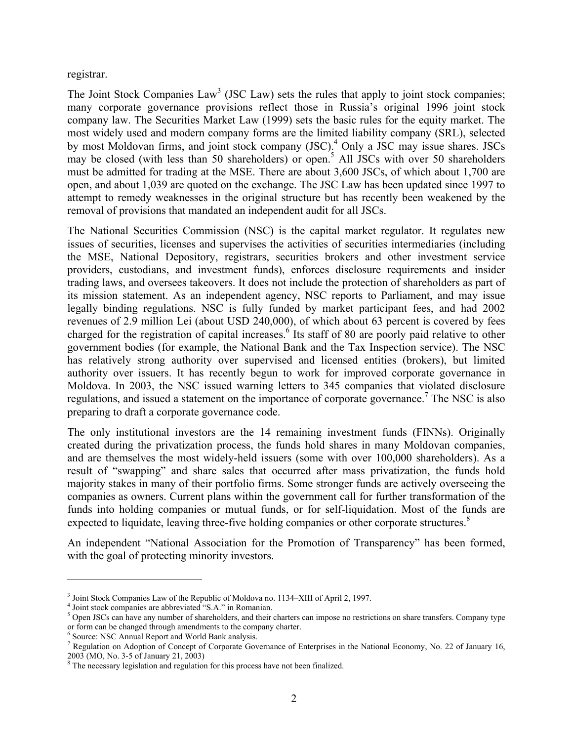registrar.

The Joint Stock Companies  $Law<sup>3</sup>$  $Law<sup>3</sup>$  $Law<sup>3</sup>$  (JSC Law) sets the rules that apply to joint stock companies; many corporate governance provisions reflect those in Russia's original 1996 joint stock company law. The Securities Market Law (1999) sets the basic rules for the equity market. The most widely used and modern company forms are the limited liability company (SRL), selected by most Moldovan firms, and joint stock company (JSC).<sup>4</sup> Only a JSC may issue shares. JSCs may be closed (with less than 50 shareholders) or open.<sup>5</sup> All JSCs with over 50 shareholders must be admitted for trading at the MSE. There are about 3,600 JSCs, of which about 1,700 are open, and about 1,039 are quoted on the exchange. The JSC Law has been updated since 1997 to attempt to remedy weaknesses in the original structure but has recently been weakened by the removal of provisions that mandated an independent audit for all JSCs.

The National Securities Commission (NSC) is the capital market regulator. It regulates new issues of securities, licenses and supervises the activities of securities intermediaries (including the MSE, National Depository, registrars, securities brokers and other investment service providers, custodians, and investment funds), enforces disclosure requirements and insider trading laws, and oversees takeovers. It does not include the protection of shareholders as part of its mission statement. As an independent agency, NSC reports to Parliament, and may issue legally binding regulations. NSC is fully funded by market participant fees, and had 2002 revenues of 2.9 million Lei (about USD 240,000), of which about 63 percent is covered by fees charged for the registration of capital increases.<sup>6</sup> Its staff of 80 are poorly paid relative to other government bodies (for example, the National Bank and the Tax Inspection service). The NSC has relatively strong authority over supervised and licensed entities (brokers), but limited authority over issuers. It has recently begun to work for improved corporate governance in Moldova. In 2003, the NSC issued warning letters to 345 companies that violated disclosure regulations, and issued a statement on the importance of corporate governance.<sup>[7](#page-2-4)</sup> The NSC is also preparing to draft a corporate governance code.

The only institutional investors are the 14 remaining investment funds (FINNs). Originally created during the privatization process, the funds hold shares in many Moldovan companies, and are themselves the most widely-held issuers (some with over 100,000 shareholders). As a result of "swapping" and share sales that occurred after mass privatization, the funds hold majority stakes in many of their portfolio firms. Some stronger funds are actively overseeing the companies as owners. Current plans within the government call for further transformation of the funds into holding companies or mutual funds, or for self-liquidation. Most of the funds are expected to liquidate, leaving three-five holding companies or other corporate structures.<sup>[8](#page-2-5)</sup>

An independent "National Association for the Promotion of Transparency" has been formed, with the goal of protecting minority investors.

<span id="page-2-0"></span><sup>&</sup>lt;sup>3</sup> Joint Stock Companies Law of the Republic of Moldova no. 1134–XIII of April 2, 1997.

<span id="page-2-2"></span><span id="page-2-1"></span>

<sup>&</sup>lt;sup>3</sup> Joint Stock Companies Law of the Republic of Moldova no. 1134–XIII of April 2, 1997.<br><sup>4</sup> Joint stock companies are abbreviated "S.A." in Romanian.<br><sup>5</sup> Open JSCs can have any number of shareholders, and their charters or form can be changed through amendments to the company charter.<br><sup>6</sup> Source: NSC Annual Pepert and World Bank analysis

<span id="page-2-3"></span> $\frac{1}{2}$  Source: NSC Annual Report and World Bank analysis.<br> $\frac{1}{2}$  Begulation on Adoption of Concept of Corporate Gove

<span id="page-2-4"></span><sup>&</sup>lt;sup>7</sup> Regulation on Adoption of Concept of Corporate Governance of Enterprises in the National Economy, No. 22 of January 16, 2003 (MO, No. 3-5 of January 21, 2003)

<span id="page-2-5"></span><sup>&</sup>lt;sup>8</sup> The necessary legislation and regulation for this process have not been finalized.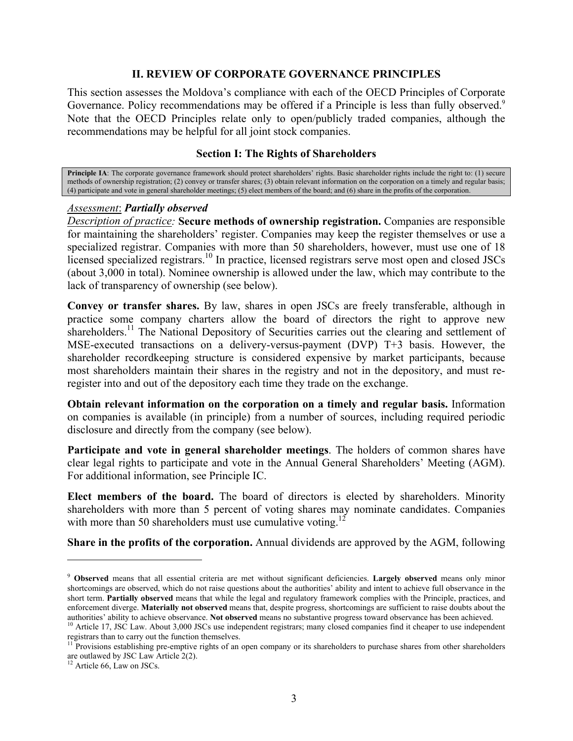#### **II. REVIEW OF CORPORATE GOVERNANCE PRINCIPLES**

This section assesses the Moldova's compliance with each of the OECD Principles of Corporate Governance. Policy recommendations may be offered if a Principle is less than fully observed.<sup>9</sup> Note that the OECD Principles relate only to open/publicly traded companies, although the recommendations may be helpful for all joint stock companies.

## **Section I: The Rights of Shareholders**

**Principle IA**: The corporate governance framework should protect shareholders' rights. Basic shareholder rights include the right to: (1) secure methods of ownership registration; (2) convey or transfer shares; (3) obtain relevant information on the corporation on a timely and regular basis; (4) participate and vote in general shareholder meetings; (5) elect members of the board; and (6) share in the profits of the corporation.

#### *Assessment*: *Partially observed*

*Description of practice:* **Secure methods of ownership registration.** Companies are responsible for maintaining the shareholders' register. Companies may keep the register themselves or use a specialized registrar. Companies with more than 50 shareholders, however, must use one of 18 licensed specialized registrars.<sup>10</sup> In practice, licensed registrars serve most open and closed JSCs (about 3,000 in total). Nominee ownership is allowed under the law, which may contribute to the lack of transparency of ownership (see below).

**Convey or transfer shares.** By law, shares in open JSCs are freely transferable, although in practice some company charters allow the board of directors the right to approve new shareholders.<sup>11</sup> The National Depository of Securities carries out the clearing and settlement of MSE-executed transactions on a delivery-versus-payment (DVP) T+3 basis. However, the shareholder recordkeeping structure is considered expensive by market participants, because most shareholders maintain their shares in the registry and not in the depository, and must reregister into and out of the depository each time they trade on the exchange.

**Obtain relevant information on the corporation on a timely and regular basis.** Information on companies is available (in principle) from a number of sources, including required periodic disclosure and directly from the company (see below).

**Participate and vote in general shareholder meetings**. The holders of common shares have clear legal rights to participate and vote in the Annual General Shareholders' Meeting (AGM). For additional information, see Principle IC.

**Elect members of the board.** The board of directors is elected by shareholders. Minority shareholders with more than 5 percent of voting shares may nominate candidates. Companies with more than 50 shareholders must use cumulative voting.<sup>[12](#page-3-3)</sup>

**Share in the profits of the corporation.** Annual dividends are approved by the AGM, following

<span id="page-3-0"></span><sup>9</sup> **Observed** means that all essential criteria are met without significant deficiencies. **Largely observed** means only minor shortcomings are observed, which do not raise questions about the authorities' ability and intent to achieve full observance in the short term. **Partially observed** means that while the legal and regulatory framework complies with the Principle, practices, and enforcement diverge. Materially not observed means that, despite progress, shortcomings are sufficient to raise doubts about the authorities' ability to achieve observance. Not observed means no substantive progress toward

<span id="page-3-1"></span><sup>&</sup>lt;sup>10</sup> Article 17, JSC Law. About 3,000 JSCs use independent registrars; many closed companies find it cheaper to use independent registrars than to carry out the function themselves.

<span id="page-3-2"></span><sup>&</sup>lt;sup>11</sup> Provisions establishing pre-emptive rights of an open company or its shareholders to purchase shares from other shareholders are outlawed by JSC Law Article 2(2).

<span id="page-3-3"></span><sup>&</sup>lt;sup>12</sup> Article 66, Law on JSCs.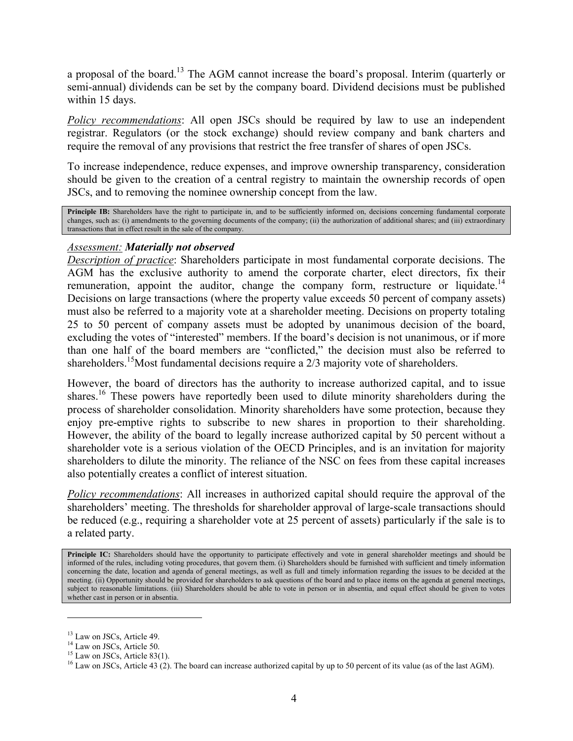a proposal of the board.[13](#page-4-0) The AGM cannot increase the board's proposal. Interim (quarterly or semi-annual) dividends can be set by the company board. Dividend decisions must be published within 15 days.

*Policy recommendations*: All open JSCs should be required by law to use an independent registrar. Regulators (or the stock exchange) should review company and bank charters and require the removal of any provisions that restrict the free transfer of shares of open JSCs.

To increase independence, reduce expenses, and improve ownership transparency, consideration should be given to the creation of a central registry to maintain the ownership records of open JSCs, and to removing the nominee ownership concept from the law.

**Principle IB:** Shareholders have the right to participate in, and to be sufficiently informed on, decisions concerning fundamental corporate changes, such as: (i) amendments to the governing documents of the company; (ii) the authorization of additional shares; and (iii) extraordinary transactions that in effect result in the sale of the company.

## *Assessment: Materially not observed*

*Description of practice*: Shareholders participate in most fundamental corporate decisions. The AGM has the exclusive authority to amend the corporate charter, elect directors, fix their remuneration, appoint the auditor, change the company form, restructure or liquidate.<sup>14</sup> Decisions on large transactions (where the property value exceeds 50 percent of company assets) must also be referred to a majority vote at a shareholder meeting. Decisions on property totaling 25 to 50 percent of company assets must be adopted by unanimous decision of the board, excluding the votes of "interested" members. If the board's decision is not unanimous, or if more than one half of the board members are "conflicted," the decision must also be referred to shareholders.<sup>15</sup>Most fundamental decisions require a 2/3 majority vote of shareholders.

However, the board of directors has the authority to increase authorized capital, and to issue shares.<sup>16</sup> These powers have reportedly been used to dilute minority shareholders during the process of shareholder consolidation. Minority shareholders have some protection, because they enjoy pre-emptive rights to subscribe to new shares in proportion to their shareholding. However, the ability of the board to legally increase authorized capital by 50 percent without a shareholder vote is a serious violation of the OECD Principles, and is an invitation for majority shareholders to dilute the minority. The reliance of the NSC on fees from these capital increases also potentially creates a conflict of interest situation.

*Policy recommendations*: All increases in authorized capital should require the approval of the shareholders' meeting. The thresholds for shareholder approval of large-scale transactions should be reduced (e.g., requiring a shareholder vote at 25 percent of assets) particularly if the sale is to a related party.

Principle IC: Shareholders should have the opportunity to participate effectively and vote in general shareholder meetings and should be informed of the rules, including voting procedures, that govern them. (i) Shareholders should be furnished with sufficient and timely information concerning the date, location and agenda of general meetings, as well as full and timely information regarding the issues to be decided at the meeting. (ii) Opportunity should be provided for shareholders to ask questions of the board and to place items on the agenda at general meetings, subject to reasonable limitations. (iii) Shareholders should be able to vote in person or in absentia, and equal effect should be given to votes whether cast in person or in absentia.

 $\overline{\phantom{a}}$ 

<span id="page-4-0"></span><sup>&</sup>lt;sup>13</sup> Law on JSCs, Article 49.

<span id="page-4-1"></span><sup>&</sup>lt;sup>14</sup> Law on JSCs, Article 50.

<span id="page-4-2"></span><sup>&</sup>lt;sup>15</sup> Law on JSCs, Article 83(1).

<span id="page-4-3"></span><sup>&</sup>lt;sup>16</sup> Law on JSCs, Article 43 (2). The board can increase authorized capital by up to 50 percent of its value (as of the last AGM).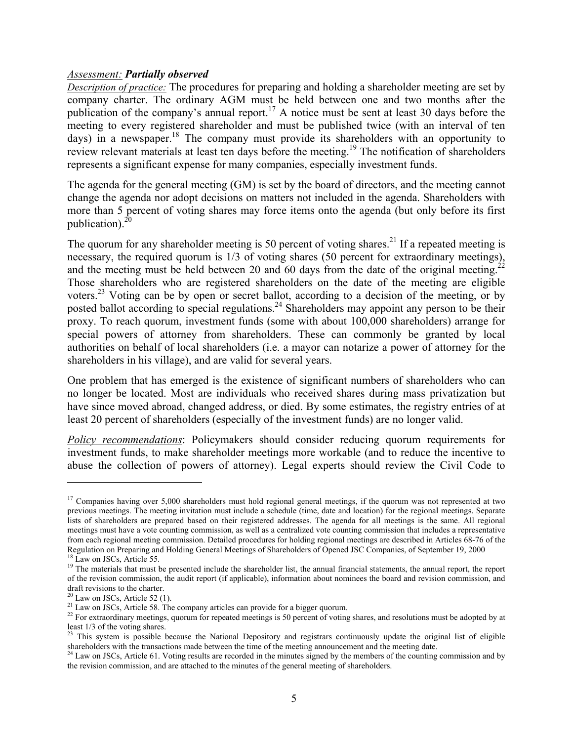#### *Assessment: Partially observed*

*Description of practice:* The procedures for preparing and holding a shareholder meeting are set by company charter. The ordinary AGM must be held between one and two months after the publication of the company's annual report.<sup>17</sup> A notice must be sent at least 30 days before the meeting to every registered shareholder and must be published twice (with an interval of ten days) in a newspaper.<sup>18</sup> The company must provide its shareholders with an opportunity to review relevant materials at least ten days before the meeting.[19 T](#page-5-2)he notification of shareholders represents a significant expense for many companies, especially investment funds.

The agenda for the general meeting (GM) is set by the board of directors, and the meeting cannot change the agenda nor adopt decisions on matters not included in the agenda. Shareholders with more than 5 percent of voting shares may force items onto the agenda (but only before its first publication). $^{20}$ 

The quorum for any shareholder meeting is 50 percent of voting shares.<sup>21</sup> If a repeated meeting is necessary, the required quorum is 1/3 of voting shares (50 percent for extraordinary meetings), and the meeting must be held between 20 and 60 days from the date of the original meeting.<sup>2</sup> Those shareholders who are registered shareholders on the date of the meeting are eligible voters.<sup>23</sup> Voting can be by open or secret ballot, according to a decision of the meeting, or by posted ballot according to special regulations.<sup>24</sup> Shareholders may appoint any person to be their proxy. To reach quorum, investment funds (some with about 100,000 shareholders) arrange for special powers of attorney from shareholders. These can commonly be granted by local authorities on behalf of local shareholders (i.e. a mayor can notarize a power of attorney for the shareholders in his village), and are valid for several years.

One problem that has emerged is the existence of significant numbers of shareholders who can no longer be located. Most are individuals who received shares during mass privatization but have since moved abroad, changed address, or died. By some estimates, the registry entries of at least 20 percent of shareholders (especially of the investment funds) are no longer valid.

*Policy recommendations*: Policymakers should consider reducing quorum requirements for investment funds, to make shareholder meetings more workable (and to reduce the incentive to abuse the collection of powers of attorney). Legal experts should review the Civil Code to

<span id="page-5-0"></span><sup>&</sup>lt;sup>17</sup> Companies having over 5,000 shareholders must hold regional general meetings, if the quorum was not represented at two previous meetings. The meeting invitation must include a schedule (time, date and location) for the regional meetings. Separate lists of shareholders are prepared based on their registered addresses. The agenda for all meetings is the same. All regional meetings must have a vote counting commission, as well as a centralized vote counting commission that includes a representative from each regional meeting commission. Detailed procedures for holding regional meetings are described in Articles 68-76 of the Regulation on Preparing and Holding General Meetings of Shareholders of Opened JSC Companies, of September 19, 2000 18 Law on JSCs, Article 55.

<span id="page-5-1"></span>

<span id="page-5-2"></span><sup>&</sup>lt;sup>19</sup> The materials that must be presented include the shareholder list, the annual financial statements, the annual report, the report of the revision commission, the audit report (if applicable), information about nominees the board and revision commission, and draft revisions to the charter.

<span id="page-5-4"></span><span id="page-5-3"></span>

<sup>20</sup> Law on JSCs, Article 52 (1).<br>
<sup>20</sup> Law on JSCs, Article 52 (1).<br>
<sup>21</sup> Law on JSCs, Article 58. The company articles can provide for a bigger quorum.

<span id="page-5-5"></span><sup>&</sup>lt;sup>22</sup> For extraordinary meetings, quorum for repeated meetings is 50 percent of voting shares, and resolutions must be adopted by at least 1/3 of the voting shares.

<span id="page-5-6"></span> $2<sup>23</sup>$  This system is possible because the National Depository and registrars continuously update the original list of eligible shareholders with the transactions made between the time of the meeting announcement and the meeting date.<br><sup>24</sup> Law on JSCs, Article 61. Voting results are recorded in the minutes signed by the members of the counting comm

<span id="page-5-7"></span>the revision commission, and are attached to the minutes of the general meeting of shareholders.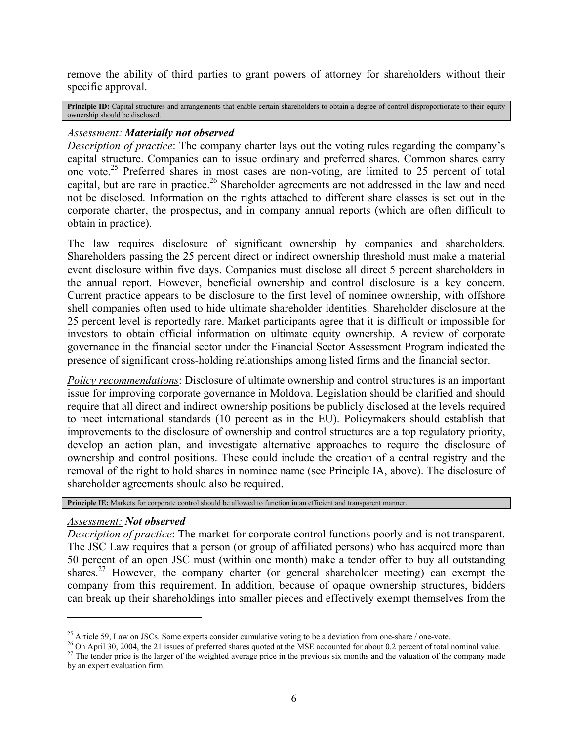remove the ability of third parties to grant powers of attorney for shareholders without their specific approval.

**Principle ID:** Capital structures and arrangements that enable certain shareholders to obtain a degree of control disproportionate to their equity ownership should be disclosed.

## *Assessment: Materially not observed*

*Description of practice*: The company charter lays out the voting rules regarding the company's capital structure. Companies can to issue ordinary and preferred shares. Common shares carry one vote.[25](#page-6-0) Preferred shares in most cases are non-voting, are limited to 25 percent of total capital, but are rare in practice.<sup>26</sup> Shareholder agreements are not addressed in the law and need not be disclosed. Information on the rights attached to different share classes is set out in the corporate charter, the prospectus, and in company annual reports (which are often difficult to obtain in practice).

The law requires disclosure of significant ownership by companies and shareholders. Shareholders passing the 25 percent direct or indirect ownership threshold must make a material event disclosure within five days. Companies must disclose all direct 5 percent shareholders in the annual report. However, beneficial ownership and control disclosure is a key concern. Current practice appears to be disclosure to the first level of nominee ownership, with offshore shell companies often used to hide ultimate shareholder identities. Shareholder disclosure at the 25 percent level is reportedly rare. Market participants agree that it is difficult or impossible for investors to obtain official information on ultimate equity ownership. A review of corporate governance in the financial sector under the Financial Sector Assessment Program indicated the presence of significant cross-holding relationships among listed firms and the financial sector.

*Policy recommendations*: Disclosure of ultimate ownership and control structures is an important issue for improving corporate governance in Moldova. Legislation should be clarified and should require that all direct and indirect ownership positions be publicly disclosed at the levels required to meet international standards (10 percent as in the EU). Policymakers should establish that improvements to the disclosure of ownership and control structures are a top regulatory priority, develop an action plan, and investigate alternative approaches to require the disclosure of ownership and control positions. These could include the creation of a central registry and the removal of the right to hold shares in nominee name (see Principle IA, above). The disclosure of shareholder agreements should also be required.

**Principle IE:** Markets for corporate control should be allowed to function in an efficient and transparent manner.

## *Assessment: Not observed*

 $\overline{\phantom{a}}$ 

*Description of practice*: The market for corporate control functions poorly and is not transparent. The JSC Law requires that a person (or group of affiliated persons) who has acquired more than 50 percent of an open JSC must (within one month) make a tender offer to buy all outstanding shares.<sup>27</sup> However, the company charter (or general shareholder meeting) can exempt the company from this requirement. In addition, because of opaque ownership structures, bidders can break up their shareholdings into smaller pieces and effectively exempt themselves from the

<span id="page-6-1"></span>

<span id="page-6-0"></span><sup>&</sup>lt;sup>25</sup> Article 59, Law on JSCs. Some experts consider cumulative voting to be a deviation from one-share / one-vote.<br><sup>26</sup> On April 30, 2004, the 21 issues of preferred shares quoted at the MSE accounted for about 0.2 percen

<span id="page-6-2"></span>by an expert evaluation firm.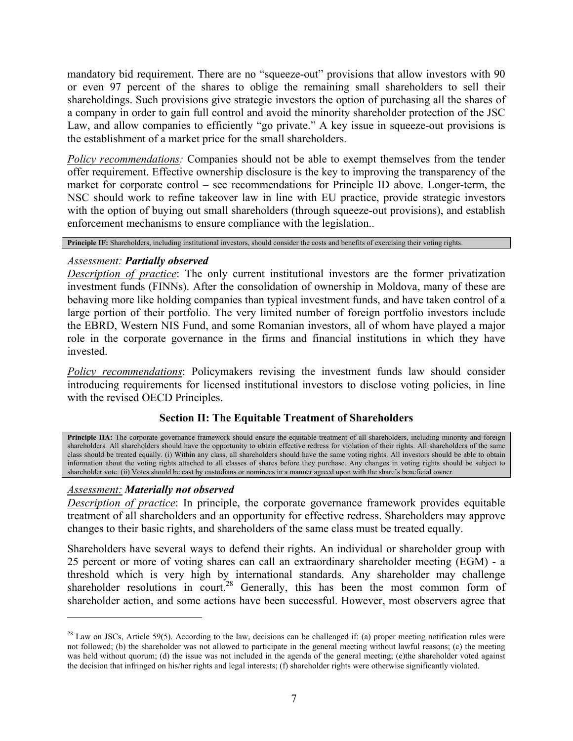mandatory bid requirement. There are no "squeeze-out" provisions that allow investors with 90 or even 97 percent of the shares to oblige the remaining small shareholders to sell their shareholdings. Such provisions give strategic investors the option of purchasing all the shares of a company in order to gain full control and avoid the minority shareholder protection of the JSC Law, and allow companies to efficiently "go private." A key issue in squeeze-out provisions is the establishment of a market price for the small shareholders.

*Policy recommendations:* Companies should not be able to exempt themselves from the tender offer requirement. Effective ownership disclosure is the key to improving the transparency of the market for corporate control – see recommendations for Principle ID above. Longer-term, the NSC should work to refine takeover law in line with EU practice, provide strategic investors with the option of buying out small shareholders (through squeeze-out provisions), and establish enforcement mechanisms to ensure compliance with the legislation..

**Principle IF:** Shareholders, including institutional investors, should consider the costs and benefits of exercising their voting rights.

# *Assessment: Partially observed*

*Description of practice*: The only current institutional investors are the former privatization investment funds (FINNs). After the consolidation of ownership in Moldova, many of these are behaving more like holding companies than typical investment funds, and have taken control of a large portion of their portfolio. The very limited number of foreign portfolio investors include the EBRD, Western NIS Fund, and some Romanian investors, all of whom have played a major role in the corporate governance in the firms and financial institutions in which they have invested.

*Policy recommendations*: Policymakers revising the investment funds law should consider introducing requirements for licensed institutional investors to disclose voting policies, in line with the revised OECD Principles.

# **Section II: The Equitable Treatment of Shareholders**

**Principle IIA:** The corporate governance framework should ensure the equitable treatment of all shareholders, including minority and foreign shareholders. All shareholders should have the opportunity to obtain effective redress for violation of their rights. All shareholders of the same class should be treated equally. (i) Within any class, all shareholders should have the same voting rights. All investors should be able to obtain information about the voting rights attached to all classes of shares before they purchase. Any changes in voting rights should be subject to shareholder vote. (ii) Votes should be cast by custodians or nominees in a manner agreed upon with the share's beneficial owner.

# *Assessment: Materially not observed*

 $\overline{\phantom{a}}$ 

*Description of practice*: In principle, the corporate governance framework provides equitable treatment of all shareholders and an opportunity for effective redress. Shareholders may approve changes to their basic rights, and shareholders of the same class must be treated equally.

Shareholders have several ways to defend their rights. An individual or shareholder group with 25 percent or more of voting shares can call an extraordinary shareholder meeting (EGM) - a threshold which is very high by international standards. Any shareholder may challenge shareholder resolutions in court.<sup>28</sup> Generally, this has been the most common form of shareholder action, and some actions have been successful. However, most observers agree that

<span id="page-7-0"></span><sup>&</sup>lt;sup>28</sup> Law on JSCs, Article 59(5). According to the law, decisions can be challenged if: (a) proper meeting notification rules were not followed; (b) the shareholder was not allowed to participate in the general meeting without lawful reasons; (c) the meeting was held without quorum; (d) the issue was not included in the agenda of the general meeting; (e)the shareholder voted against the decision that infringed on his/her rights and legal interests; (f) shareholder rights were otherwise significantly violated.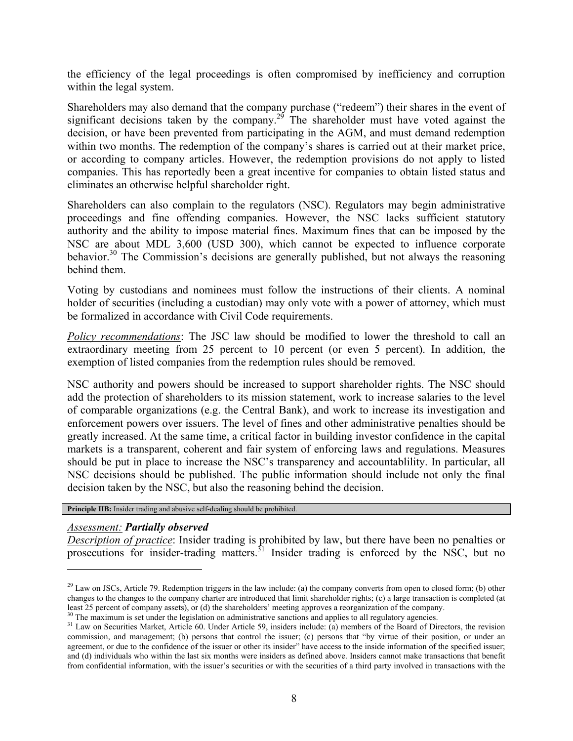<span id="page-8-2"></span>the efficiency of the legal proceedings is often compromised by inefficiency and corruption within the legal system.

Shareholders may also demand that the company purchase ("redeem") their shares in the event of significant decisions taken by the company.<sup>29</sup> The shareholder must have voted against the decision, or have been prevented from participating in the AGM, and must demand redemption within two months. The redemption of the company's shares is carried out at their market price, or according to company articles. However, the redemption provisions do not apply to listed companies. This has reportedly been a great incentive for companies to obtain listed status and eliminates an otherwise helpful shareholder right.

Shareholders can also complain to the regulators (NSC). Regulators may begin administrative proceedings and fine offending companies. However, the NSC lacks sufficient statutory authority and the ability to impose material fines. Maximum fines that can be imposed by the NSC are about MDL 3,600 (USD 300), which cannot be expected to influence corporate behavior.<sup>30</sup> The Commission's decisions are generally published, but not always the reasoning behind them.

Voting by custodians and nominees must follow the instructions of their clients. A nominal holder of securities (including a custodian) may only vote with a power of attorney, which must be formalized in accordance with Civil Code requirements.

*Policy recommendations*: The JSC law should be modified to lower the threshold to call an extraordinary meeting from 25 percent to 10 percent (or even 5 percent). In addition, the exemption of listed companies from the redemption rules should be removed.

NSC authority and powers should be increased to support shareholder rights. The NSC should add the protection of shareholders to its mission statement, work to increase salaries to the level of comparable organizations (e.g. the Central Bank), and work to increase its investigation and enforcement powers over issuers. The level of fines and other administrative penalties should be greatly increased. At the same time, a critical factor in building investor confidence in the capital markets is a transparent, coherent and fair system of enforcing laws and regulations. Measures should be put in place to increase the NSC's transparency and accountablility. In particular, all NSC decisions should be published. The public information should include not only the final decision taken by the NSC, but also the reasoning behind the decision.

**Principle IIB:** Insider trading and abusive self-dealing should be prohibited.

## *Assessment: Partially observed*

l

*Description of practice*: Insider trading is prohibited by law, but there have been no penalties or prosecutions for insider-trading matters.<sup>31</sup> Insider trading is enforced by the NSC, but no

<span id="page-8-0"></span> $^{29}$  Law on JSCs, Article 79. Redemption triggers in the law include: (a) the company converts from open to closed form; (b) other changes to the changes to the company charter are introduced that limit shareholder rights; (c) a large transaction is completed (at least 25 percent of company assets), or (d) the shareholders' meeting approves a reorgani

<span id="page-8-1"></span>

 $30$  The maximum is set under the legislation on administrative sanctions and applies to all regulatory agencies.<br><sup>31</sup> Law on Securities Market, Article 60. Under Article 59, insiders include: (a) members of the Board of commission, and management; (b) persons that control the issuer; (c) persons that "by virtue of their position, or under an agreement, or due to the confidence of the issuer or other its insider" have access to the inside information of the specified issuer; and (d) individuals who within the last six months were insiders as defined above. Insiders cannot make transactions that benefit from confidential information, with the issuer's securities or with the securities of a third party involved in transactions with the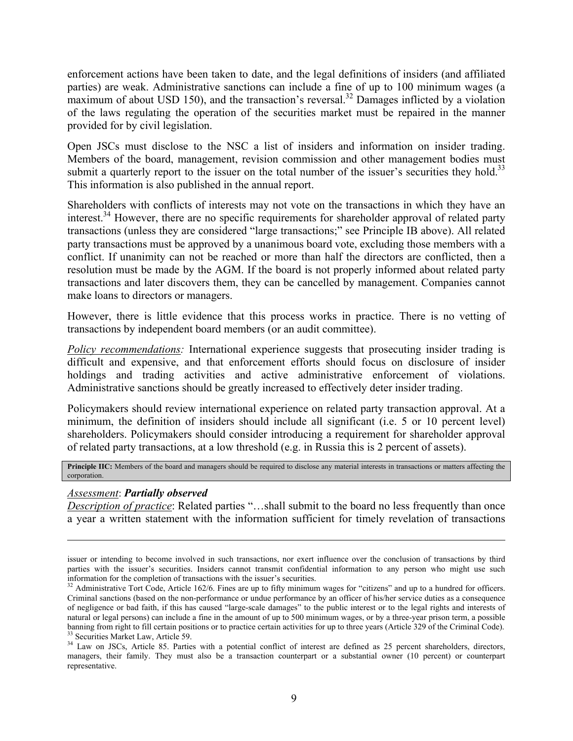enforcement actions have been taken to date, and the legal definitions of insiders (and affiliated parties) are weak. Administrative sanctions can include a fine of up to 100 minimum wages (a maximum of about USD 150), and the transaction's reversal.<sup>32</sup> Damages inflicted by a violation of the laws regulating the operation of the securities market must be repaired in the manner provided for by civil legislation.

Open JSCs must disclose to the NSC a list of insiders and information on insider trading. Members of the board, management, revision commission and other management bodies must submit a quarterly report to the issuer on the total number of the issuer's securities they hold.<sup>33</sup> This information is also published in the annual report.

Shareholders with conflicts of interests may not vote on the transactions in which they have an interest.<sup>34</sup> However, there are no specific requirements for shareholder approval of related party transactions (unless they are considered "large transactions;" see Principle IB above). All related party transactions must be approved by a unanimous board vote, excluding those members with a conflict. If unanimity can not be reached or more than half the directors are conflicted, then a resolution must be made by the AGM. If the board is not properly informed about related party transactions and later discovers them, they can be cancelled by management. Companies cannot make loans to directors or managers.

However, there is little evidence that this process works in practice. There is no vetting of transactions by independent board members (or an audit committee).

*Policy recommendations:* International experience suggests that prosecuting insider trading is difficult and expensive, and that enforcement efforts should focus on disclosure of insider holdings and trading activities and active administrative enforcement of violations. Administrative sanctions should be greatly increased to effectively deter insider trading.

Policymakers should review international experience on related party transaction approval. At a minimum, the definition of insiders should include all significant (i.e. 5 or 10 percent level) shareholders. Policymakers should consider introducing a requirement for shareholder approval of related party transactions, at a low threshold (e.g. in Russia this is 2 percent of assets).

Principle IIC: Members of the board and managers should be required to disclose any material interests in transactions or matters affecting the corporation.

## *Assessment*: *Partially observed*

l

*Description of practice*: Related parties "...shall submit to the board no less frequently than once a year a written statement with the information sufficient for timely revelation of transactions

issuer or intending to become involved in such transactions, nor exert influence over the conclusion of transactions by third parties with the issuer's securities. Insiders cannot transmit confidential information to any person who might use such information for the completion of transactions with the issuer's securities.

<span id="page-9-0"></span> $32$  Administrative Tort Code, Article 162/6. Fines are up to fifty minimum wages for "citizens" and up to a hundred for officers. Criminal sanctions (based on the non-performance or undue performance by an officer of his/her service duties as a consequence of negligence or bad faith, if this has caused "large-scale damages" to the public interest or to the legal rights and interests of natural or legal persons) can include a fine in the amount of up to 500 minimum wages, or by a three-year prison term, a possible banning from right to fill certain positions or to practice certain activities for up to three years (Article 329 of the Criminal Code).<br><sup>33</sup> Securities Market Law, Article 59.

<span id="page-9-2"></span><span id="page-9-1"></span><sup>&</sup>lt;sup>34</sup> Law on JSCs, Article 85. Parties with a potential conflict of interest are defined as 25 percent shareholders, directors, managers, their family. They must also be a transaction counterpart or a substantial owner (10 percent) or counterpart representative.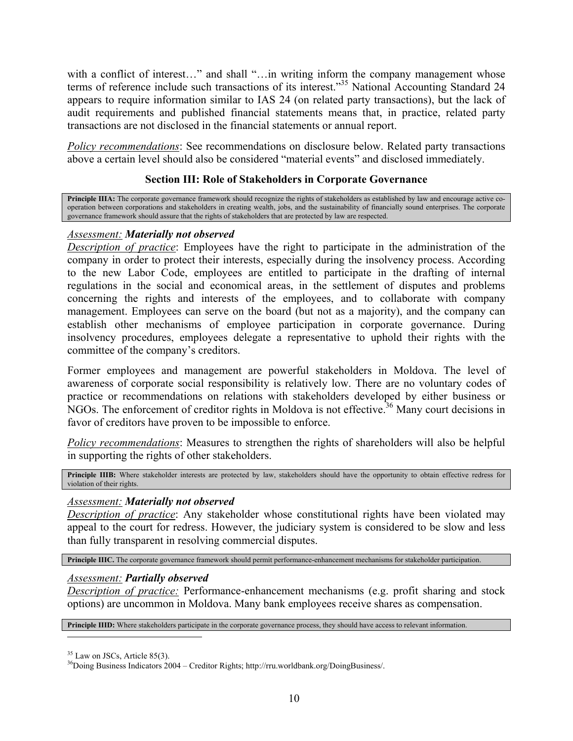with a conflict of interest..." and shall "...in writing inform the company management whose terms of reference include such transactions of its interest."[35](#page-10-0) National Accounting Standard 24 appears to require information similar to IAS 24 (on related party transactions), but the lack of audit requirements and published financial statements means that, in practice, related party transactions are not disclosed in the financial statements or annual report.

*Policy recommendations*: See recommendations on disclosure below. Related party transactions above a certain level should also be considered "material events" and disclosed immediately.

# **Section III: Role of Stakeholders in Corporate Governance**

Principle IIIA: The corporate governance framework should recognize the rights of stakeholders as established by law and encourage active cooperation between corporations and stakeholders in creating wealth, jobs, and the sustainability of financially sound enterprises. The corporate governance framework should assure that the rights of stakeholders that are protected by law are respected.

## *Assessment: Materially not observed*

*Description of practice*: Employees have the right to participate in the administration of the company in order to protect their interests, especially during the insolvency process. According to the new Labor Code, employees are entitled to participate in the drafting of internal regulations in the social and economical areas, in the settlement of disputes and problems concerning the rights and interests of the employees, and to collaborate with company management. Employees can serve on the board (but not as a majority), and the company can establish other mechanisms of employee participation in corporate governance. During insolvency procedures, employees delegate a representative to uphold their rights with the committee of the company's creditors.

Former employees and management are powerful stakeholders in Moldova. The level of awareness of corporate social responsibility is relatively low. There are no voluntary codes of practice or recommendations on relations with stakeholders developed by either business or NGOs. The enforcement of creditor rights in Moldova is not effective.<sup>36</sup> Many court decisions in favor of creditors have proven to be impossible to enforce.

*Policy recommendations*: Measures to strengthen the rights of shareholders will also be helpful in supporting the rights of other stakeholders.

**Principle IIIB:** Where stakeholder interests are protected by law, stakeholders should have the opportunity to obtain effective redress for violation of their rights.

## *Assessment: Materially not observed*

*Description of practice*: Any stakeholder whose constitutional rights have been violated may appeal to the court for redress. However, the judiciary system is considered to be slow and less than fully transparent in resolving commercial disputes.

**Principle IIIC.** The corporate governance framework should permit performance-enhancement mechanisms for stakeholder participation.

#### *Assessment: Partially observed*

*Description of practice:* Performance-enhancement mechanisms (e.g. profit sharing and stock options) are uncommon in Moldova. Many bank employees receive shares as compensation.

**Principle IIID:** Where stakeholders participate in the corporate governance process, they should have access to relevant information.

<span id="page-10-0"></span> $35$  Law on JSCs, Article 85(3).

<span id="page-10-1"></span><sup>36</sup>Doing Business Indicators 2004 – Creditor Rights; http://rru.worldbank.org/DoingBusiness/.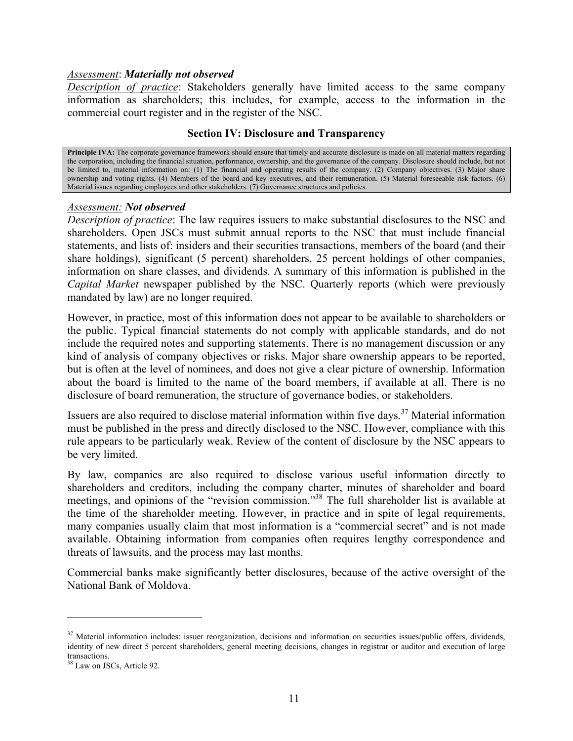#### *Assessment*: *Materially not observed*

*Description of practice*: Stakeholders generally have limited access to the same company information as shareholders; this includes, for example, access to the information in the commercial court register and in the register of the NSC.

#### **Section IV: Disclosure and Transparency**

**Principle IVA:** The corporate governance framework should ensure that timely and accurate disclosure is made on all material matters regarding the corporation, including the financial situation, performance, ownership, and the governance of the company. Disclosure should include, but not be limited to, material information on: (1) The financial and operating results of the company. (2) Company objectives. (3) Major share ownership and voting rights. (4) Members of the board and key executives, and their remuneration. (5) Material foreseeable risk factors. (6) Material issues regarding employees and other stakeholders. (7) Governance structures and policies.

#### *Assessment: Not observed*

*Description of practice*: The law requires issuers to make substantial disclosures to the NSC and shareholders. Open JSCs must submit annual reports to the NSC that must include financial statements, and lists of: insiders and their securities transactions, members of the board (and their share holdings), significant (5 percent) shareholders, 25 percent holdings of other companies, information on share classes, and dividends. A summary of this information is published in the *Capital Market* newspaper published by the NSC. Quarterly reports (which were previously mandated by law) are no longer required.

However, in practice, most of this information does not appear to be available to shareholders or the public. Typical financial statements do not comply with applicable standards, and do not include the required notes and supporting statements. There is no management discussion or any kind of analysis of company objectives or risks. Major share ownership appears to be reported, but is often at the level of nominees, and does not give a clear picture of ownership. Information about the board is limited to the name of the board members, if available at all. There is no disclosure of board remuneration, the structure of governance bodies, or stakeholders.

Issuers are also required to disclose material information within five days.<sup>37</sup> Material information must be published in the press and directly disclosed to the NSC. However, compliance with this rule appears to be particularly weak. Review of the content of disclosure by the NSC appears to be very limited.

By law, companies are also required to disclose various useful information directly to shareholders and creditors, including the company charter, minutes of shareholder and board meetings, and opinions of the "revision commission."[38](#page-11-1) The full shareholder list is available at the time of the shareholder meeting. However, in practice and in spite of legal requirements, many companies usually claim that most information is a "commercial secret" and is not made available. Obtaining information from companies often requires lengthy correspondence and threats of lawsuits, and the process may last months.

Commercial banks make significantly better disclosures, because of the active oversight of the National Bank of Moldova.

 $\overline{a}$ 

<span id="page-11-0"></span> $37$  Material information includes: issuer reorganization, decisions and information on securities issues/public offers, dividends, identity of new direct 5 percent shareholders, general meeting decisions, changes in registrar or auditor and execution of large transactions.

<span id="page-11-1"></span><sup>&</sup>lt;sup>38</sup> Law on JSCs, Article 92.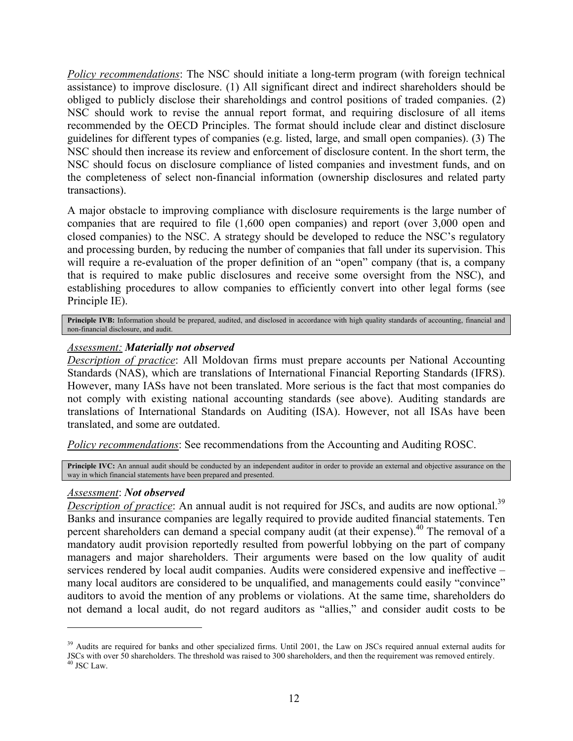*Policy recommendations*: The NSC should initiate a long-term program (with foreign technical assistance) to improve disclosure. (1) All significant direct and indirect shareholders should be obliged to publicly disclose their shareholdings and control positions of traded companies. (2) NSC should work to revise the annual report format, and requiring disclosure of all items recommended by the OECD Principles. The format should include clear and distinct disclosure guidelines for different types of companies (e.g. listed, large, and small open companies). (3) The NSC should then increase its review and enforcement of disclosure content. In the short term, the NSC should focus on disclosure compliance of listed companies and investment funds, and on the completeness of select non-financial information (ownership disclosures and related party transactions).

A major obstacle to improving compliance with disclosure requirements is the large number of companies that are required to file (1,600 open companies) and report (over 3,000 open and closed companies) to the NSC. A strategy should be developed to reduce the NSC's regulatory and processing burden, by reducing the number of companies that fall under its supervision. This will require a re-evaluation of the proper definition of an "open" company (that is, a company that is required to make public disclosures and receive some oversight from the NSC), and establishing procedures to allow companies to efficiently convert into other legal forms (see Principle IE).

Principle IVB: Information should be prepared, audited, and disclosed in accordance with high quality standards of accounting, financial and non-financial disclosure, and audit.

## *Assessment: Materially not observed*

*Description of practice*: All Moldovan firms must prepare accounts per National Accounting Standards (NAS), which are translations of International Financial Reporting Standards (IFRS). However, many IASs have not been translated. More serious is the fact that most companies do not comply with existing national accounting standards (see above). Auditing standards are translations of International Standards on Auditing (ISA). However, not all ISAs have been translated, and some are outdated.

*Policy recommendations*: See recommendations from the Accounting and Auditing ROSC.

**Principle IVC:** An annual audit should be conducted by an independent auditor in order to provide an external and objective assurance on the way in which financial statements have been prepared and presented.

#### *Assessment*: *Not observed*

l

*Description of practice*: An annual audit is not required for JSCs, and audits are now optional.<sup>[39](#page-12-0)</sup> Banks and insurance companies are legally required to provide audited financial statements. Ten percent shareholders can demand a special company audit (at their expense).<sup>40</sup> The removal of a mandatory audit provision reportedly resulted from powerful lobbying on the part of company managers and major shareholders. Their arguments were based on the low quality of audit services rendered by local audit companies. Audits were considered expensive and ineffective – many local auditors are considered to be unqualified, and managements could easily "convince" auditors to avoid the mention of any problems or violations. At the same time, shareholders do not demand a local audit, do not regard auditors as "allies," and consider audit costs to be

<span id="page-12-1"></span><span id="page-12-0"></span> $39$  Audits are required for banks and other specialized firms. Until 2001, the Law on JSCs required annual external audits for JSCs with over 50 shareholders. The threshold was raised to 300 shareholders, and then the requirement was removed entirely.<br><sup>40</sup> JSC Law.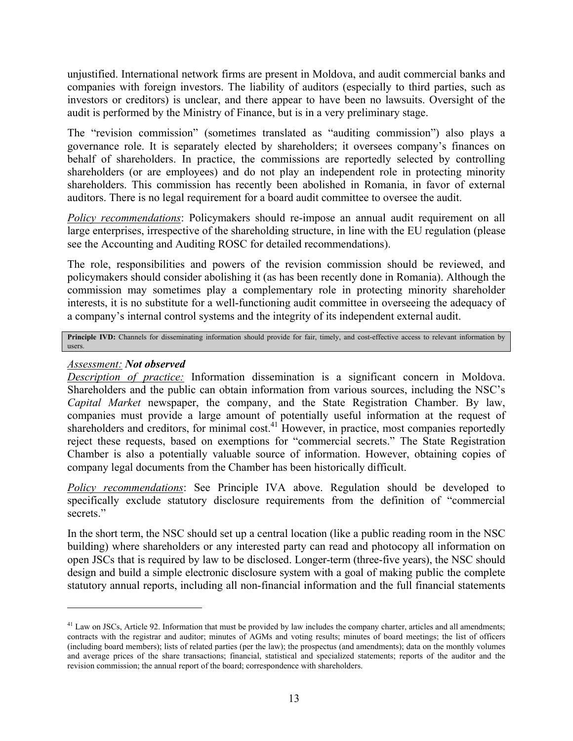unjustified. International network firms are present in Moldova, and audit commercial banks and companies with foreign investors. The liability of auditors (especially to third parties, such as investors or creditors) is unclear, and there appear to have been no lawsuits. Oversight of the audit is performed by the Ministry of Finance, but is in a very preliminary stage.

The "revision commission" (sometimes translated as "auditing commission") also plays a governance role. It is separately elected by shareholders; it oversees company's finances on behalf of shareholders. In practice, the commissions are reportedly selected by controlling shareholders (or are employees) and do not play an independent role in protecting minority shareholders. This commission has recently been abolished in Romania, in favor of external auditors. There is no legal requirement for a board audit committee to oversee the audit.

*Policy recommendations*: Policymakers should re-impose an annual audit requirement on all large enterprises, irrespective of the shareholding structure, in line with the EU regulation (please see the Accounting and Auditing ROSC for detailed recommendations).

The role, responsibilities and powers of the revision commission should be reviewed, and policymakers should consider abolishing it (as has been recently done in Romania). Although the commission may sometimes play a complementary role in protecting minority shareholder interests, it is no substitute for a well-functioning audit committee in overseeing the adequacy of a company's internal control systems and the integrity of its independent external audit.

**Principle IVD:** Channels for disseminating information should provide for fair, timely, and cost-effective access to relevant information by users.

# *Assessment: Not observed*

l

*Description of practice:* Information dissemination is a significant concern in Moldova. Shareholders and the public can obtain information from various sources, including the NSC's *Capital Market* newspaper, the company, and the State Registration Chamber. By law, companies must provide a large amount of potentially useful information at the request of shareholders and creditors, for minimal cost.<sup>41</sup> However, in practice, most companies reportedly reject these requests, based on exemptions for "commercial secrets." The State Registration Chamber is also a potentially valuable source of information. However, obtaining copies of company legal documents from the Chamber has been historically difficult.

*Policy recommendations*: See Principle IVA above. Regulation should be developed to specifically exclude statutory disclosure requirements from the definition of "commercial secrets."

In the short term, the NSC should set up a central location (like a public reading room in the NSC building) where shareholders or any interested party can read and photocopy all information on open JSCs that is required by law to be disclosed. Longer-term (three-five years), the NSC should design and build a simple electronic disclosure system with a goal of making public the complete statutory annual reports, including all non-financial information and the full financial statements

<span id="page-13-0"></span> $<sup>41</sup>$  Law on JSCs, Article 92. Information that must be provided by law includes the company charter, articles and all amendments;</sup> contracts with the registrar and auditor; minutes of AGMs and voting results; minutes of board meetings; the list of officers (including board members); lists of related parties (per the law); the prospectus (and amendments); data on the monthly volumes and average prices of the share transactions; financial, statistical and specialized statements; reports of the auditor and the revision commission; the annual report of the board; correspondence with shareholders.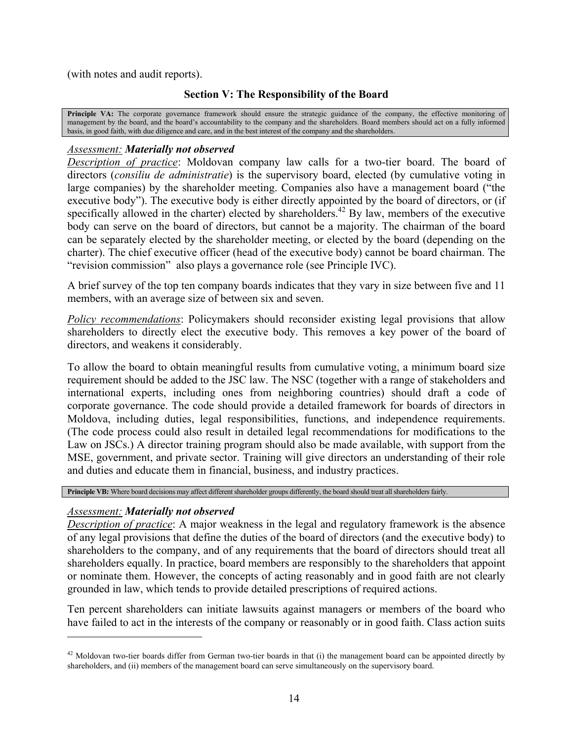(with notes and audit reports).

# **Section V: The Responsibility of the Board**

Principle VA: The corporate governance framework should ensure the strategic guidance of the company, the effective monitoring of management by the board, and the board's accountability to the company and the shareholders. Board members should act on a fully informed basis, in good faith, with due diligence and care, and in the best interest of the company and the shareholders.

## *Assessment: Materially not observed*

*Description of practice*: Moldovan company law calls for a two-tier board. The board of directors (*consiliu de administratie*) is the supervisory board, elected (by cumulative voting in large companies) by the shareholder meeting. Companies also have a management board ("the executive body"). The executive body is either directly appointed by the board of directors, or (if specifically allowed in the charter) elected by shareholders.<sup>42</sup> By law, members of the executive body can serve on the board of directors, but cannot be a majority. The chairman of the board can be separately elected by the shareholder meeting, or elected by the board (depending on the charter). The chief executive officer (head of the executive body) cannot be board chairman. The "revision commission" also plays a governance role (see Principle IVC).

A brief survey of the top ten company boards indicates that they vary in size between five and 11 members, with an average size of between six and seven.

*Policy recommendations*: Policymakers should reconsider existing legal provisions that allow shareholders to directly elect the executive body. This removes a key power of the board of directors, and weakens it considerably.

To allow the board to obtain meaningful results from cumulative voting, a minimum board size requirement should be added to the JSC law. The NSC (together with a range of stakeholders and international experts, including ones from neighboring countries) should draft a code of corporate governance. The code should provide a detailed framework for boards of directors in Moldova, including duties, legal responsibilities, functions, and independence requirements. (The code process could also result in detailed legal recommendations for modifications to the Law on JSCs.) A director training program should also be made available, with support from the MSE, government, and private sector. Training will give directors an understanding of their role and duties and educate them in financial, business, and industry practices.

**Principle VB:** Where board decisions may affect different shareholder groups differently, the board should treat all shareholders fairly.

## *Assessment: Materially not observed*

l

*Description of practice*: A major weakness in the legal and regulatory framework is the absence of any legal provisions that define the duties of the board of directors (and the executive body) to shareholders to the company, and of any requirements that the board of directors should treat all shareholders equally. In practice, board members are responsibly to the shareholders that appoint or nominate them. However, the concepts of acting reasonably and in good faith are not clearly grounded in law, which tends to provide detailed prescriptions of required actions.

Ten percent shareholders can initiate lawsuits against managers or members of the board who have failed to act in the interests of the company or reasonably or in good faith. Class action suits

<span id="page-14-0"></span> $42$  Moldovan two-tier boards differ from German two-tier boards in that (i) the management board can be appointed directly by shareholders, and (ii) members of the management board can serve simultaneously on the supervisory board.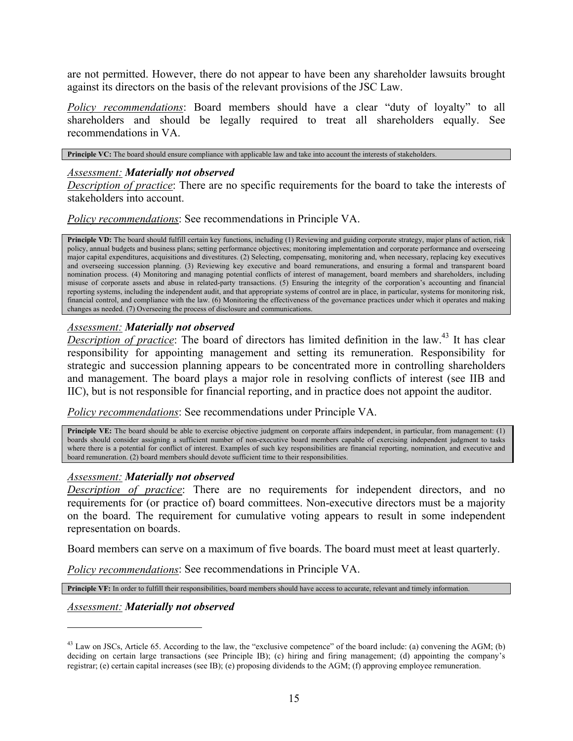are not permitted. However, there do not appear to have been any shareholder lawsuits brought against its directors on the basis of the relevant provisions of the JSC Law.

*Policy recommendations*: Board members should have a clear "duty of loyalty" to all shareholders and should be legally required to treat all shareholders equally. See recommendations in VA.

**Principle VC:** The board should ensure compliance with applicable law and take into account the interests of stakeholders.

#### *Assessment: Materially not observed*

*Description of practice*: There are no specific requirements for the board to take the interests of stakeholders into account.

*Policy recommendations*: See recommendations in Principle VA.

**Principle VD:** The board should fulfill certain key functions, including (1) Reviewing and guiding corporate strategy, major plans of action, risk policy, annual budgets and business plans; setting performance objectives; monitoring implementation and corporate performance and overseeing major capital expenditures, acquisitions and divestitures. (2) Selecting, compensating, monitoring and, when necessary, replacing key executives and overseeing succession planning. (3) Reviewing key executive and board remunerations, and ensuring a formal and transparent board nomination process. (4) Monitoring and managing potential conflicts of interest of management, board members and shareholders, including misuse of corporate assets and abuse in related-party transactions. (5) Ensuring the integrity of the corporation's accounting and financial reporting systems, including the independent audit, and that appropriate systems of control are in place, in particular, systems for monitoring risk, financial control, and compliance with the law. (6) Monitoring the effectiveness of the governance practices under which it operates and making changes as needed. (7) Overseeing the process of disclosure and communications.

## *Assessment: Materially not observed*

*Description of practice*: The board of directors has limited definition in the law.<sup>43</sup> It has clear responsibility for appointing management and setting its remuneration. Responsibility for strategic and succession planning appears to be concentrated more in controlling shareholders and management. The board plays a major role in resolving conflicts of interest (see IIB and IIC), but is not responsible for financial reporting, and in practice does not appoint the auditor.

*Policy recommendations*: See recommendations under Principle VA.

**Principle VE:** The board should be able to exercise objective judgment on corporate affairs independent, in particular, from management: (1) boards should consider assigning a sufficient number of non-executive board members capable of exercising independent judgment to tasks where there is a potential for conflict of interest. Examples of such key responsibilities are financial reporting, nomination, and executive and board remuneration. (2) board members should devote sufficient time to their responsibilities.

#### *Assessment: Materially not observed*

*Description of practice*: There are no requirements for independent directors, and no requirements for (or practice of) board committees. Non-executive directors must be a majority on the board. The requirement for cumulative voting appears to result in some independent representation on boards.

Board members can serve on a maximum of five boards. The board must meet at least quarterly.

*Policy recommendations*: See recommendations in Principle VA.

**Principle VF:** In order to fulfill their responsibilities, board members should have access to accurate, relevant and timely information.

#### *Assessment: Materially not observed*

<span id="page-15-0"></span> $^{43}$  Law on JSCs, Article 65. According to the law, the "exclusive competence" of the board include: (a) convening the AGM; (b) deciding on certain large transactions (see Principle IB); (c) hiring and firing management; (d) appointing the company's registrar; (e) certain capital increases (see IB); (e) proposing dividends to the AGM; (f) approving employee remuneration.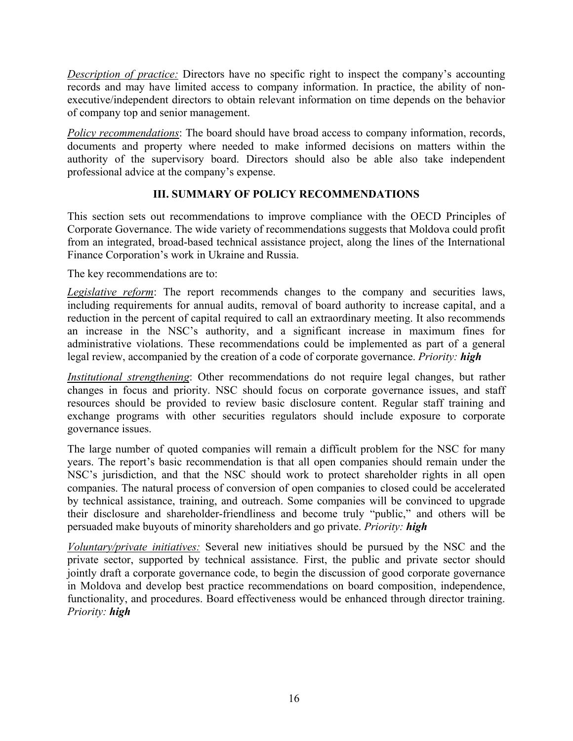*Description of practice:* Directors have no specific right to inspect the company's accounting records and may have limited access to company information. In practice, the ability of nonexecutive/independent directors to obtain relevant information on time depends on the behavior of company top and senior management.

*Policy recommendations*: The board should have broad access to company information, records, documents and property where needed to make informed decisions on matters within the authority of the supervisory board. Directors should also be able also take independent professional advice at the company's expense.

# **III. SUMMARY OF POLICY RECOMMENDATIONS**

This section sets out recommendations to improve compliance with the OECD Principles of Corporate Governance. The wide variety of recommendations suggests that Moldova could profit from an integrated, broad-based technical assistance project, along the lines of the International Finance Corporation's work in Ukraine and Russia.

The key recommendations are to:

*Legislative reform*: The report recommends changes to the company and securities laws, including requirements for annual audits, removal of board authority to increase capital, and a reduction in the percent of capital required to call an extraordinary meeting. It also recommends an increase in the NSC's authority, and a significant increase in maximum fines for administrative violations. These recommendations could be implemented as part of a general legal review, accompanied by the creation of a code of corporate governance. *Priority: high* 

*Institutional strengthening*: Other recommendations do not require legal changes, but rather changes in focus and priority. NSC should focus on corporate governance issues, and staff resources should be provided to review basic disclosure content. Regular staff training and exchange programs with other securities regulators should include exposure to corporate governance issues.

The large number of quoted companies will remain a difficult problem for the NSC for many years. The report's basic recommendation is that all open companies should remain under the NSC's jurisdiction, and that the NSC should work to protect shareholder rights in all open companies. The natural process of conversion of open companies to closed could be accelerated by technical assistance, training, and outreach. Some companies will be convinced to upgrade their disclosure and shareholder-friendliness and become truly "public," and others will be persuaded make buyouts of minority shareholders and go private. *Priority: high*

*Voluntary/private initiatives:* Several new initiatives should be pursued by the NSC and the private sector, supported by technical assistance. First, the public and private sector should jointly draft a corporate governance code, to begin the discussion of good corporate governance in Moldova and develop best practice recommendations on board composition, independence, functionality, and procedures. Board effectiveness would be enhanced through director training. *Priority: high*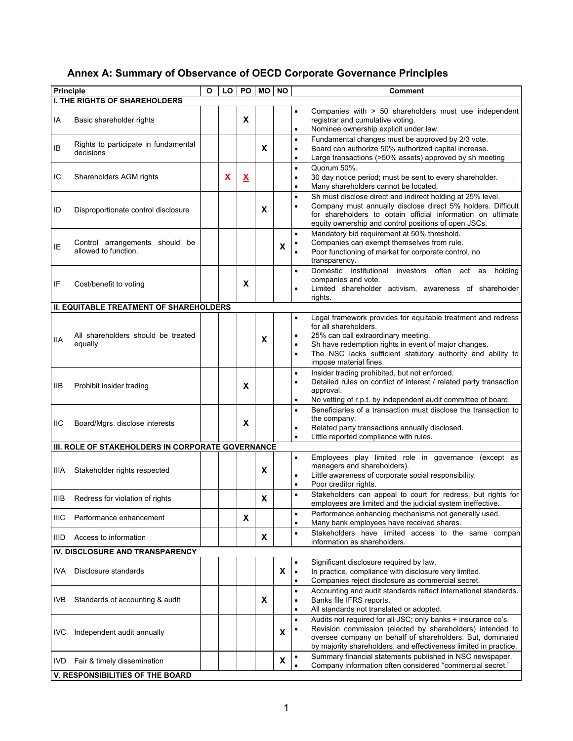# **Annex A: Summary of Observance of OECD Corporate Governance Principles**

| <b>Principle</b> |                                                   | O | LO | P <sub>O</sub>           | <b>MO</b> | <b>NO</b> | Comment                                                                                                                                        |
|------------------|---------------------------------------------------|---|----|--------------------------|-----------|-----------|------------------------------------------------------------------------------------------------------------------------------------------------|
|                  | <b>I. THE RIGHTS OF SHAREHOLDERS</b>              |   |    |                          |           |           |                                                                                                                                                |
| ΙA               | Basic shareholder rights                          |   |    | X                        |           |           | Companies with > 50 shareholders must use independent<br>$\bullet$<br>registrar and cumulative voting.                                         |
|                  |                                                   |   |    |                          |           |           | Nominee ownership explicit under law.<br>$\bullet$<br>Fundamental changes must be approved by 2/3 vote.<br>$\bullet$                           |
| IB               | Rights to participate in fundamental<br>decisions |   |    |                          | X         |           | Board can authorize 50% authorized capital increase.<br>$\bullet$                                                                              |
|                  |                                                   |   |    |                          |           |           | Large transactions (>50% assets) approved by sh meeting<br>$\bullet$                                                                           |
| IC               | Shareholders AGM rights                           |   | X  |                          |           |           | Quorum 50%.<br>$\bullet$                                                                                                                       |
|                  |                                                   |   |    | $\underline{\mathbf{x}}$ |           |           | 30 day notice period; must be sent to every shareholder.<br>$\bullet$<br>Many shareholders cannot be located.<br>$\bullet$                     |
|                  |                                                   |   |    |                          |           |           | Sh must disclose direct and indirect holding at 25% level.<br>$\bullet$                                                                        |
| ID               | Disproportionate control disclosure               |   |    |                          | X         |           | Company must annually disclose direct 5% holders. Difficult<br>for shareholders to obtain official information on ultimate                     |
|                  |                                                   |   |    |                          |           |           | equity ownership and control positions of open JSCs.                                                                                           |
|                  |                                                   |   |    |                          |           |           | Mandatory bid requirement at 50% threshold.<br>$\bullet$                                                                                       |
| ΙE               | Control arrangements should be                    |   |    |                          |           | X         | Companies can exempt themselves from rule.                                                                                                     |
|                  | allowed to function.                              |   |    |                          |           |           | Poor functioning of market for corporate control, no<br>transparency.                                                                          |
|                  |                                                   |   |    |                          |           |           | Domestic institutional investors often act as holding                                                                                          |
| IF               | Cost/benefit to voting                            |   |    | X                        |           |           | companies and vote.                                                                                                                            |
|                  |                                                   |   |    |                          |           |           | Limited shareholder activism, awareness of shareholder<br>rights.                                                                              |
|                  | <b>II. EQUITABLE TREATMENT OF SHAREHOLDERS</b>    |   |    |                          |           |           |                                                                                                                                                |
|                  |                                                   |   |    |                          |           |           | Legal framework provides for equitable treatment and redress<br>$\bullet$                                                                      |
|                  | All shareholders should be treated                |   |    |                          |           |           | for all shareholders.<br>25% can call extraordinary meeting.                                                                                   |
| IIA              | equally                                           |   |    |                          | X         |           | Sh have redemption rights in event of major changes.                                                                                           |
|                  |                                                   |   |    |                          |           |           | The NSC lacks sufficient statutory authority and ability to                                                                                    |
|                  |                                                   |   |    |                          |           |           | impose material fines.                                                                                                                         |
|                  |                                                   |   |    |                          |           |           | Insider trading prohibited, but not enforced.<br>$\bullet$<br>Detailed rules on conflict of interest / related party transaction               |
| IIВ              | Prohibit insider trading                          |   |    | X                        |           |           | approval.                                                                                                                                      |
|                  |                                                   |   |    |                          |           |           | No vetting of r.p.t. by independent audit committee of board.<br>$\bullet$                                                                     |
|                  |                                                   |   |    |                          |           |           | Beneficiaries of a transaction must disclose the transaction to<br>the company.                                                                |
| IIС              | Board/Mgrs. disclose interests                    |   |    | X                        |           |           | Related party transactions annually disclosed.                                                                                                 |
|                  |                                                   |   |    |                          |           |           | Little reported compliance with rules.                                                                                                         |
|                  | III. ROLE OF STAKEHOLDERS IN CORPORATE GOVERNANCE |   |    |                          |           |           | Employees play limited role in governance (except as                                                                                           |
|                  |                                                   |   |    |                          |           |           | $\bullet$<br>managers and shareholders).                                                                                                       |
| IIIA.            | Stakeholder rights respected                      |   |    |                          | X         |           | Little awareness of corporate social responsibility.<br>$\bullet$                                                                              |
|                  |                                                   |   |    |                          |           |           | Poor creditor rights.<br>$\bullet$                                                                                                             |
| IIIB.            | Redress for violation of rights                   |   |    |                          | X         |           | Stakeholders can appeal to court for redress, but rights for<br>employees are limited and the judicial system ineffective.                     |
| IIIC             | Performance enhancement                           |   |    | X                        |           |           | Performance enhancing mechanisms not generally used.<br>$\bullet$<br>Many bank employees have received shares.<br>$\bullet$                    |
| IIID             | Access to information                             |   |    |                          | X         |           | Stakeholders have limited access to the same compant<br>$\bullet$<br>information as shareholders.                                              |
|                  | IV. DISCLOSURE AND TRANSPARENCY                   |   |    |                          |           |           |                                                                                                                                                |
|                  |                                                   |   |    |                          |           |           | Significant disclosure required by law.                                                                                                        |
| IVA.             | Disclosure standards                              |   |    |                          |           | X         | In practice, compliance with disclosure very limited.<br>$\bullet$                                                                             |
|                  |                                                   |   |    |                          |           |           | Companies reject disclosure as commercial secret.<br>$\bullet$<br>Accounting and audit standards reflect international standards.<br>$\bullet$ |
| IVB              | Standards of accounting & audit                   |   |    |                          | X         |           | Banks file IFRS reports.<br>٠                                                                                                                  |
|                  |                                                   |   |    |                          |           |           | All standards not translated or adopted.                                                                                                       |
|                  |                                                   |   |    |                          |           |           | Audits not required for all JSC; only banks + insurance co's.<br>$\bullet$                                                                     |
| <b>IVC</b>       | Independent audit annually                        |   |    |                          |           | X         | Revision commission (elected by shareholders) intended to<br>oversee company on behalf of shareholders. But, dominated                         |
|                  |                                                   |   |    |                          |           |           | by majority shareholders, and effectiveness limited in practice.                                                                               |
|                  | IVD Fair & timely dissemination                   |   |    |                          |           | X         | Summary financial statements published in NSC newspaper.                                                                                       |
|                  | V. RESPONSIBILITIES OF THE BOARD                  |   |    |                          |           |           | Company information often considered "commercial secret."                                                                                      |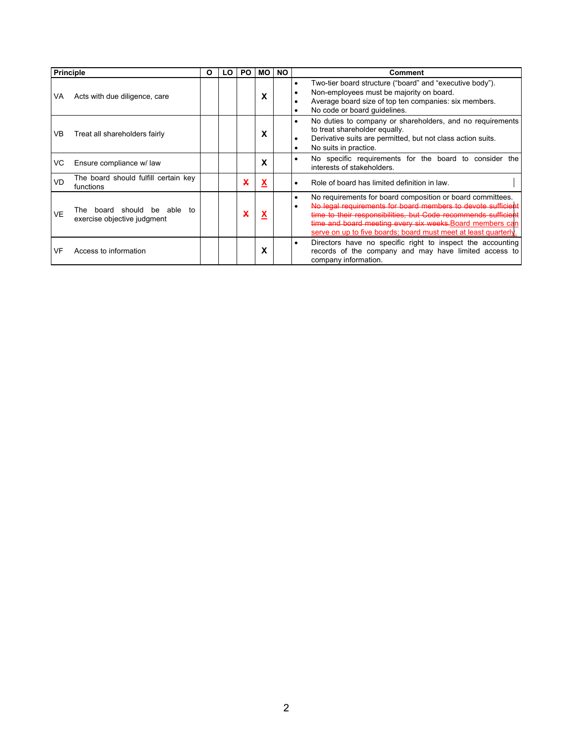| <b>Principle</b> |                                                               | О | LO. | PO. | MО | <b>NO</b> | Comment                                                                                                                                                                                                                                                                                                                      |
|------------------|---------------------------------------------------------------|---|-----|-----|----|-----------|------------------------------------------------------------------------------------------------------------------------------------------------------------------------------------------------------------------------------------------------------------------------------------------------------------------------------|
| VA               | Acts with due diligence, care                                 |   |     |     | X  |           | Two-tier board structure ("board" and "executive body").<br>Non-employees must be majority on board.<br>Average board size of top ten companies: six members.<br>No code or board quidelines.<br>٠                                                                                                                           |
| VB               | Treat all shareholders fairly                                 |   |     |     | x  |           | No duties to company or shareholders, and no requirements<br>$\bullet$<br>to treat shareholder equally.<br>Derivative suits are permitted, but not class action suits.<br>No suits in practice.                                                                                                                              |
| VC.              | Ensure compliance w/ law                                      |   |     |     | x  |           | No specific requirements for the board to consider the<br>interests of stakeholders.                                                                                                                                                                                                                                         |
| VD               | The board should fulfill certain key<br>functions             |   |     | x   | X  |           | Role of board has limited definition in law.                                                                                                                                                                                                                                                                                 |
| VE               | The board should be able<br>to<br>exercise objective judgment |   |     |     | X  |           | No requirements for board composition or board committees.<br>No legal requirements for board members to devote sufficient<br>time to their responsibilities, but Code recommends sufficient<br>time and board meeting every six weeks. Board members can<br>serve on up to five boards; board must meet at least quarterly. |
| VF               | Access to information                                         |   |     |     | X  |           | Directors have no specific right to inspect the accounting<br>٠<br>records of the company and may have limited access to<br>company information.                                                                                                                                                                             |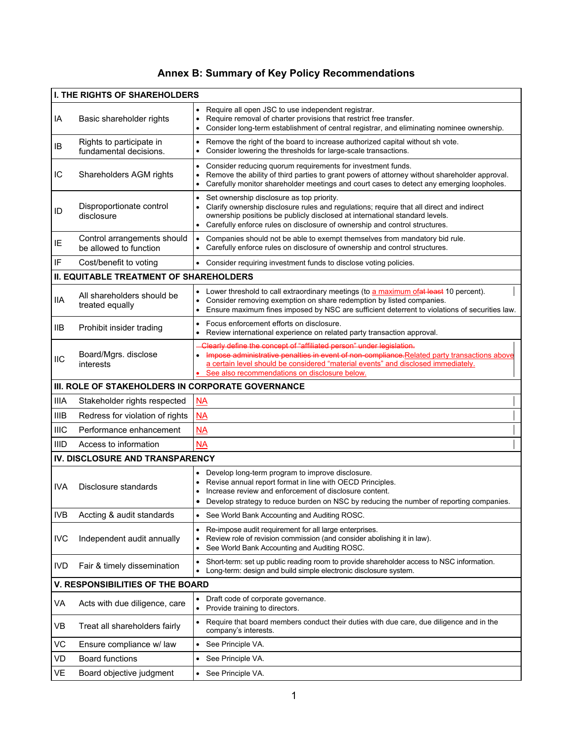# **Annex B: Summary of Key Policy Recommendations**

|             | <b>I. THE RIGHTS OF SHAREHOLDERS</b>                  |                                                                                                                                                                                                                                                                                                                 |
|-------------|-------------------------------------------------------|-----------------------------------------------------------------------------------------------------------------------------------------------------------------------------------------------------------------------------------------------------------------------------------------------------------------|
| IA          | Basic shareholder rights                              | Require all open JSC to use independent registrar.<br>Require removal of charter provisions that restrict free transfer.<br>$\bullet$<br>Consider long-term establishment of central registrar, and eliminating nominee ownership.                                                                              |
| IB          | Rights to participate in<br>fundamental decisions.    | Remove the right of the board to increase authorized capital without sh vote.<br>Consider lowering the thresholds for large-scale transactions.<br>$\bullet$                                                                                                                                                    |
| IС          | Shareholders AGM rights                               | Consider reducing quorum requirements for investment funds.<br>$\bullet$<br>Remove the ability of third parties to grant powers of attorney without shareholder approval.<br>$\bullet$<br>Carefully monitor shareholder meetings and court cases to detect any emerging loopholes.<br>$\bullet$                 |
| ID          | Disproportionate control<br>disclosure                | Set ownership disclosure as top priority.<br>Clarify ownership disclosure rules and regulations; require that all direct and indirect<br>$\bullet$<br>ownership positions be publicly disclosed at international standard levels.<br>Carefully enforce rules on disclosure of ownership and control structures. |
| IE          | Control arrangements should<br>be allowed to function | Companies should not be able to exempt themselves from mandatory bid rule.<br>$\bullet$<br>Carefully enforce rules on disclosure of ownership and control structures.                                                                                                                                           |
| IF          | Cost/benefit to voting                                | Consider requiring investment funds to disclose voting policies.                                                                                                                                                                                                                                                |
|             | <b>II. EQUITABLE TREATMENT OF SHAREHOLDERS</b>        |                                                                                                                                                                                                                                                                                                                 |
| <b>IIA</b>  | All shareholders should be<br>treated equally         | Lower threshold to call extraordinary meetings (to a maximum ofat least 10 percent).<br>Consider removing exemption on share redemption by listed companies.<br>$\bullet$<br>Ensure maximum fines imposed by NSC are sufficient deterrent to violations of securities law.<br>$\bullet$                         |
| 11B         | Prohibit insider trading                              | Focus enforcement efforts on disclosure.<br>$\bullet$<br>Review international experience on related party transaction approval.                                                                                                                                                                                 |
| IIC         | Board/Mgrs. disclose<br>interests                     | Clearly define the concept of "affiliated person" under legislation.<br>Impose administrative penalties in event of non-compliance.Related party transactions above<br>a certain level should be considered "material events" and disclosed immediately.<br>See also recommendations on disclosure below.       |
|             | III. ROLE OF STAKEHOLDERS IN CORPORATE GOVERNANCE     |                                                                                                                                                                                                                                                                                                                 |
| <b>IIIA</b> | Stakeholder rights respected                          | M <sub>A</sub>                                                                                                                                                                                                                                                                                                  |
| <b>IIIB</b> | Redress for violation of rights                       | $\overline{\mathsf{NA}}$                                                                                                                                                                                                                                                                                        |
| <b>IIIC</b> | Performance enhancement                               | M <sub>A</sub>                                                                                                                                                                                                                                                                                                  |
| <b>IIID</b> | Access to information                                 | <b>NA</b>                                                                                                                                                                                                                                                                                                       |
|             | IV. DISCLOSURE AND TRANSPARENCY                       |                                                                                                                                                                                                                                                                                                                 |
| IVA         | Disclosure standards                                  | Develop long-term program to improve disclosure.<br>Revise annual report format in line with OECD Principles.<br>٠<br>Increase review and enforcement of disclosure content.<br>Develop strategy to reduce burden on NSC by reducing the number of reporting companies.                                         |
| <b>IVB</b>  | Accting & audit standards                             | See World Bank Accounting and Auditing ROSC.<br>$\bullet$                                                                                                                                                                                                                                                       |
| <b>IVC</b>  | Independent audit annually                            | Re-impose audit requirement for all large enterprises.<br>٠<br>Review role of revision commission (and consider abolishing it in law).<br>$\bullet$<br>See World Bank Accounting and Auditing ROSC.                                                                                                             |
| <b>IVD</b>  | Fair & timely dissemination                           | Short-term: set up public reading room to provide shareholder access to NSC information.<br>$\bullet$<br>Long-term: design and build simple electronic disclosure system.<br>$\bullet$                                                                                                                          |
|             | <b>V. RESPONSIBILITIES OF THE BOARD</b>               |                                                                                                                                                                                                                                                                                                                 |
| VA          | Acts with due diligence, care                         | Draft code of corporate governance.<br>Provide training to directors.<br>$\bullet$                                                                                                                                                                                                                              |
| VB          | Treat all shareholders fairly                         | Require that board members conduct their duties with due care, due diligence and in the<br>company's interests.                                                                                                                                                                                                 |
| VC          | Ensure compliance w/ law                              | See Principle VA.<br>$\bullet$                                                                                                                                                                                                                                                                                  |
| VD          | <b>Board functions</b>                                | See Principle VA.<br>$\bullet$                                                                                                                                                                                                                                                                                  |
| VE          | Board objective judgment                              | See Principle VA.<br>$\bullet$                                                                                                                                                                                                                                                                                  |